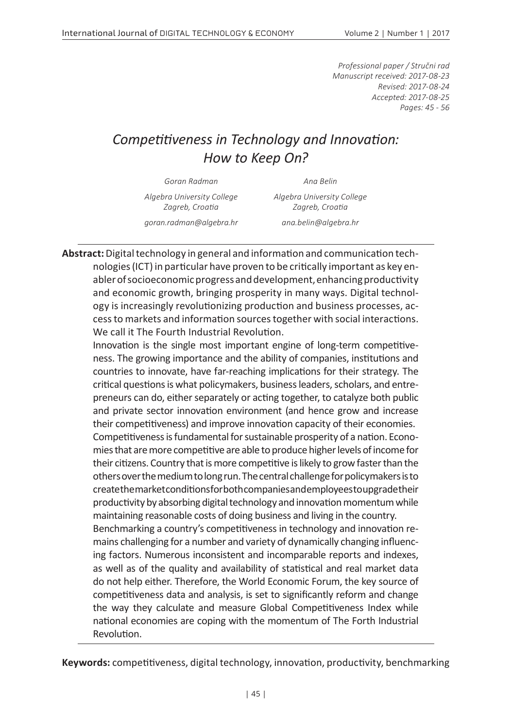*Professional paper / Stručni rad Manuscript received: 2017-08-23 Revised: 2017-08-24 Accepted: 2017-08-25 Pages: 45 - 56*

## *Competitiveness in Technology and Innovation: How to Keep On?*

*Goran Radman Ana Belin*

*Algebra University College Zagreb, Croatia*

*goran.radman@algebra.hr ana.belin@algebra.hr*

*Algebra University College Zagreb, Croatia*

**Abstract:** Digital technology in general and information and communication technologies (ICT) in particular have proven to be critically important as key enabler of socioeconomic progress and development, enhancing productivity and economic growth, bringing prosperity in many ways. Digital technology is increasingly revolutionizing production and business processes, access to markets and information sources together with social interactions. We call it The Fourth Industrial Revolution.

Innovation is the single most important engine of long-term competitiveness. The growing importance and the ability of companies, institutions and countries to innovate, have far-reaching implications for their strategy. The critical questions is what policymakers, business leaders, scholars, and entrepreneurs can do, either separately or acting together, to catalyze both public and private sector innovation environment (and hence grow and increase their competitiveness) and improve innovation capacity of their economies. Competitiveness is fundamental for sustainable prosperity of a nation. Economies that are more competitive are able to produce higher levels of income for their citizens. Country that is more competitive is likely to grow faster than the others over the medium to long run. The central challenge for policymakers is to create the market conditions for both companies and employees to upgrade their productivity by absorbing digital technology and innovation momentum while maintaining reasonable costs of doing business and living in the country. Benchmarking a country's competitiveness in technology and innovation remains challenging for a number and variety of dynamically changing influencing factors. Numerous inconsistent and incomparable reports and indexes, as well as of the quality and availability of statistical and real market data

do not help either. Therefore, the World Economic Forum, the key source of competitiveness data and analysis, is set to significantly reform and change the way they calculate and measure Global Competitiveness Index while national economies are coping with the momentum of The Forth Industrial Revolution.

**Keywords:** competitiveness, digital technology, innovation, productivity, benchmarking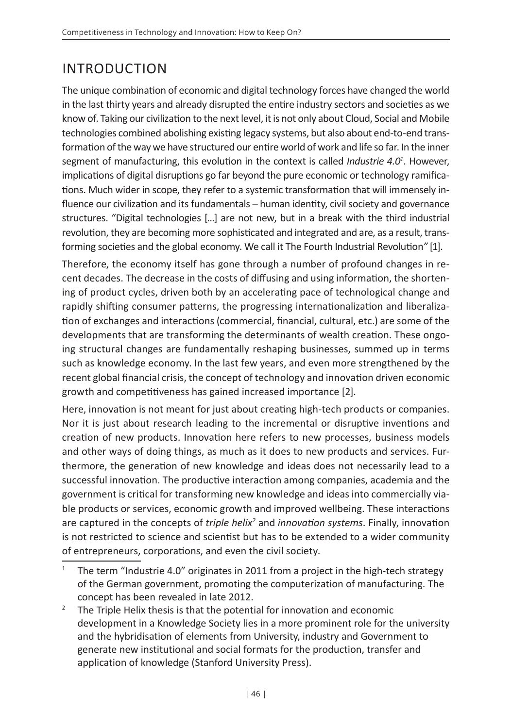# INTRODUCTION

The unique combination of economic and digital technology forces have changed the world in the last thirty years and already disrupted the entire industry sectors and societies as we know of. Taking our civilization to the next level, it is not only about Cloud, Social and Mobile technologies combined abolishing existing legacy systems, but also about end-to-end transformation of the way we have structured our entire world of work and life so far. In the inner segment of manufacturing, this evolution in the context is called *Industrie 4.0<sup>1</sup>* . However, implications of digital disruptions go far beyond the pure economic or technology ramifications. Much wider in scope, they refer to a systemic transformation that will immensely influence our civilization and its fundamentals – human identity, civil society and governance structures. "Digital technologies [...] are not new, but in a break with the third industrial revolution, they are becoming more sophisticated and integrated and are, as a result, transforming societies and the global economy. We call it The Fourth Industrial Revolution*"* [1].

Therefore, the economy itself has gone through a number of profound changes in recent decades. The decrease in the costs of diffusing and using information, the shortening of product cycles, driven both by an accelerating pace of technological change and rapidly shifting consumer patterns, the progressing internationalization and liberalization of exchanges and interactions (commercial, financial, cultural, etc.) are some of the developments that are transforming the determinants of wealth creation. These ongoing structural changes are fundamentally reshaping businesses, summed up in terms such as knowledge economy. In the last few years, and even more strengthened by the recent global financial crisis, the concept of technology and innovation driven economic growth and competitiveness has gained increased importance [2].

Here, innovation is not meant for just about creating high-tech products or companies. Nor it is just about research leading to the incremental or disruptive inventions and creation of new products. Innovation here refers to new processes, business models and other ways of doing things, as much as it does to new products and services. Furthermore, the generation of new knowledge and ideas does not necessarily lead to a successful innovation. The productive interaction among companies, academia and the government is critical for transforming new knowledge and ideas into commercially viable products or services, economic growth and improved wellbeing. These interactions are captured in the concepts of *triple helix<sup>2</sup>* and *innovation systems*. Finally, innovation is not restricted to science and scientist but has to be extended to a wider community of entrepreneurs, corporations, and even the civil society.

<sup>&</sup>lt;sup>1</sup> The term "Industrie 4.0" originates in 2011 from a project in the high-tech strategy of the German government, promoting the computerization of manufacturing. The concept has been revealed in late 2012.

<sup>&</sup>lt;sup>2</sup> The Triple Helix thesis is that the potential for innovation and economic development in a Knowledge Society lies in a more prominent role for the university and the hybridisation of elements from University, industry and Government to generate new institutional and social formats for the production, transfer and application of knowledge (Stanford University Press).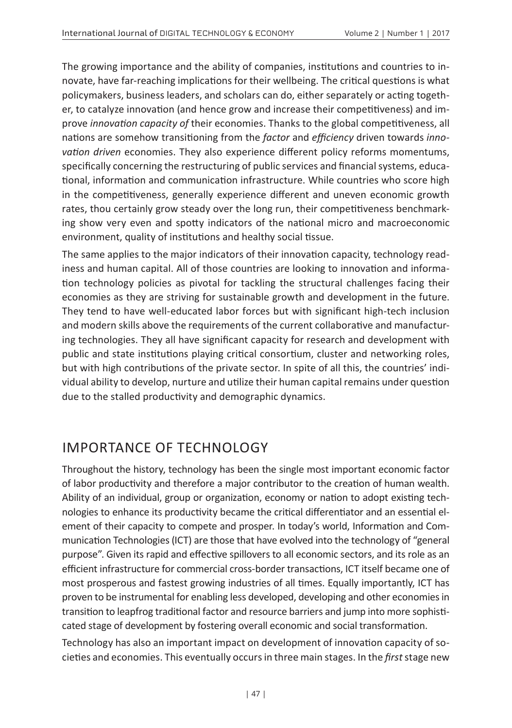The growing importance and the ability of companies, institutions and countries to innovate, have far-reaching implications for their wellbeing. The critical questions is what policymakers, business leaders, and scholars can do, either separately or acting together, to catalyze innovation (and hence grow and increase their competitiveness) and improve *innovation capacity of* their economies. Thanks to the global competitiveness, all nations are somehow transitioning from the *factor* and *efficiency* driven towards *innovation driven* economies. They also experience different policy reforms momentums, specifically concerning the restructuring of public services and financial systems, educational, information and communication infrastructure. While countries who score high in the competitiveness, generally experience different and uneven economic growth rates, thou certainly grow steady over the long run, their competitiveness benchmarking show very even and spotty indicators of the national micro and macroeconomic environment, quality of institutions and healthy social tissue.

The same applies to the major indicators of their innovation capacity, technology readiness and human capital. All of those countries are looking to innovation and information technology policies as pivotal for tackling the structural challenges facing their economies as they are striving for sustainable growth and development in the future. They tend to have well-educated labor forces but with significant high-tech inclusion and modern skills above the requirements of the current collaborative and manufacturing technologies. They all have significant capacity for research and development with public and state institutions playing critical consortium, cluster and networking roles, but with high contributions of the private sector. In spite of all this, the countries' individual ability to develop, nurture and utilize their human capital remains under question due to the stalled productivity and demographic dynamics.

## IMPORTANCE OF TECHNOLOGY

Throughout the history, technology has been the single most important economic factor of labor productivity and therefore a major contributor to the creation of human wealth. Ability of an individual, group or organization, economy or nation to adopt existing technologies to enhance its productivity became the critical differentiator and an essential element of their capacity to compete and prosper. In today's world, Information and Communication Technologies (ICT) are those that have evolved into the technology of "general purpose". Given its rapid and effective spillovers to all economic sectors, and its role as an efficient infrastructure for commercial cross-border transactions, ICT itself became one of most prosperous and fastest growing industries of all times. Equally importantly, ICT has proven to be instrumental for enabling less developed, developing and other economies in transition to leapfrog traditional factor and resource barriers and jump into more sophisticated stage of development by fostering overall economic and social transformation.

Technology has also an important impact on development of innovation capacity of societies and economies. This eventually occurs in three main stages. In the *first* stage new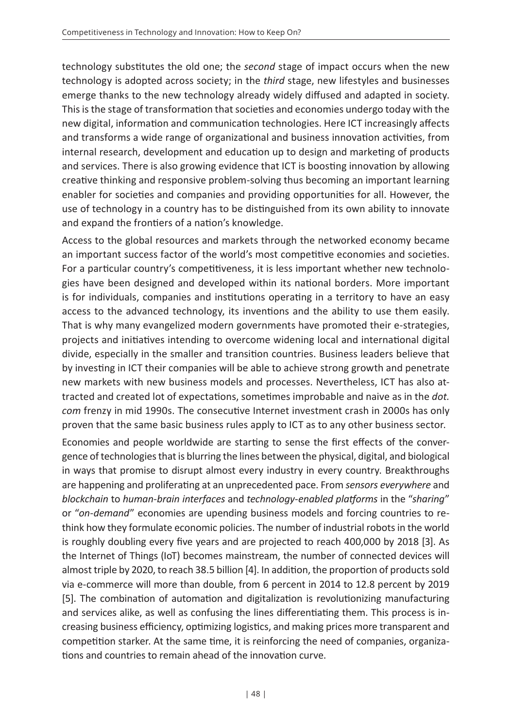technology substitutes the old one; the *second* stage of impact occurs when the new technology is adopted across society; in the *third* stage, new lifestyles and businesses emerge thanks to the new technology already widely diffused and adapted in society. This is the stage of transformation that societies and economies undergo today with the new digital, information and communication technologies. Here ICT increasingly affects and transforms a wide range of organizational and business innovation activities, from internal research, development and education up to design and marketing of products and services. There is also growing evidence that ICT is boosting innovation by allowing creative thinking and responsive problem-solving thus becoming an important learning enabler for societies and companies and providing opportunities for all. However, the use of technology in a country has to be distinguished from its own ability to innovate and expand the frontiers of a nation's knowledge.

Access to the global resources and markets through the networked economy became an important success factor of the world's most competitive economies and societies. For a particular country's competitiveness, it is less important whether new technologies have been designed and developed within its national borders. More important is for individuals, companies and institutions operating in a territory to have an easy access to the advanced technology, its inventions and the ability to use them easily. That is why many evangelized modern governments have promoted their e-strategies, projects and initiatives intending to overcome widening local and international digital divide, especially in the smaller and transition countries. Business leaders believe that by investing in ICT their companies will be able to achieve strong growth and penetrate new markets with new business models and processes. Nevertheless, ICT has also attracted and created lot of expectations, sometimes improbable and naive as in the *dot. com* frenzy in mid 1990s. The consecutive Internet investment crash in 2000s has only proven that the same basic business rules apply to ICT as to any other business sector.

Economies and people worldwide are starting to sense the first effects of the convergence of technologies that is blurring the lines between the physical, digital, and biological in ways that promise to disrupt almost every industry in every country. Breakthroughs are happening and proliferating at an unprecedented pace. From *sensors everywhere* and *blockchain* to *human-brain interfaces* and *technology-enabled platforms* in the "*sharing*" or "*on-demand*" economies are upending business models and forcing countries to rethink how they formulate economic policies. The number of industrial robots in the world is roughly doubling every five years and are projected to reach 400,000 by 2018 [3]. As the Internet of Things (IoT) becomes mainstream, the number of connected devices will almost triple by 2020, to reach 38.5 billion [4]. In addition, the proportion of products sold via e-commerce will more than double, from 6 percent in 2014 to 12.8 percent by 2019 [5]. The combination of automation and digitalization is revolutionizing manufacturing and services alike, as well as confusing the lines differentiating them. This process is increasing business efficiency, optimizing logistics, and making prices more transparent and competition starker. At the same time, it is reinforcing the need of companies, organizations and countries to remain ahead of the innovation curve.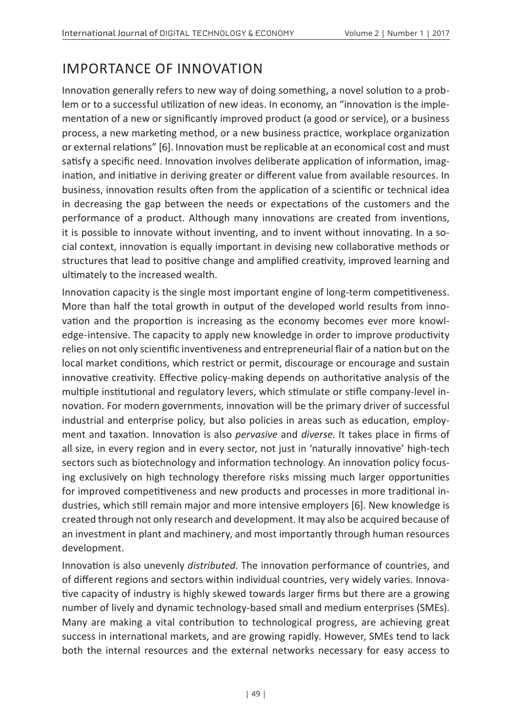## IMPORTANCE OF INNOVATION

Innovation generally refers to new way of doing something, a novel solution to a problem or to a successful utilization of new ideas. In economy, an "innovation is the implementation of a new or significantly improved product (a good or service), or a business process, a new marketing method, or a new business practice, workplace organization or external relations" [6]. Innovation must be replicable at an economical cost and must satisfy a specific need. Innovation involves deliberate application of information, imagination, and initiative in deriving greater or different value from available resources. In business, innovation results often from the application of a scientific or technical idea in decreasing the gap between the needs or expectations of the customers and the performance of a product. Although many innovations are created from inventions, it is possible to innovate without inventing, and to invent without innovating. In a social context, innovation is equally important in devising new collaborative methods or structures that lead to positive change and amplified creativity, improved learning and ultimately to the increased wealth.

Innovation capacity is the single most important engine of long-term competitiveness. More than half the total growth in output of the developed world results from innovation and the proportion is increasing as the economy becomes ever more knowledge-intensive. The capacity to apply new knowledge in order to improve productivity relies on not only scientific inventiveness and entrepreneurial flair of a nation but on the local market conditions, which restrict or permit, discourage or encourage and sustain innovative creativity. Effective policy-making depends on authoritative analysis of the multiple institutional and regulatory levers, which stimulate or stifle company-level innovation. For modern governments, innovation will be the primary driver of successful industrial and enterprise policy, but also policies in areas such as education, employment and taxation. Innovation is also *pervasive* and *diverse*. It takes place in firms of all size, in every region and in every sector, not just in 'naturally innovative' high-tech sectors such as biotechnology and information technology. An innovation policy focusing exclusively on high technology therefore risks missing much larger opportunities for improved competitiveness and new products and processes in more traditional industries, which still remain major and more intensive employers [6]. New knowledge is created through not only research and development. It may also be acquired because of an investment in plant and machinery, and most importantly through human resources development.

Innovation is also unevenly *distributed*. The innovation performance of countries, and of different regions and sectors within individual countries, very widely varies. Innovative capacity of industry is highly skewed towards larger firms but there are a growing number of lively and dynamic technology-based small and medium enterprises (SMEs). Many are making a vital contribution to technological progress, are achieving great success in international markets, and are growing rapidly. However, SMEs tend to lack both the internal resources and the external networks necessary for easy access to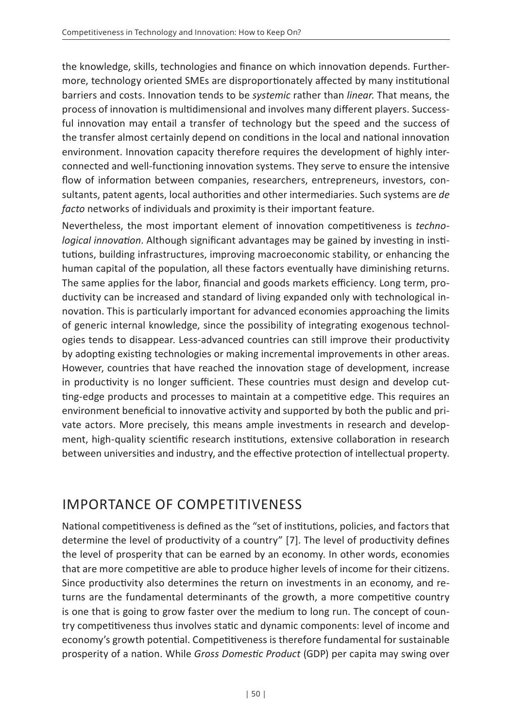the knowledge, skills, technologies and finance on which innovation depends. Furthermore, technology oriented SMEs are disproportionately affected by many institutional barriers and costs. Innovation tends to be *systemic* rather than *linear*. That means, the process of innovation is multidimensional and involves many different players. Successful innovation may entail a transfer of technology but the speed and the success of the transfer almost certainly depend on conditions in the local and national innovation environment. Innovation capacity therefore requires the development of highly interconnected and well-functioning innovation systems. They serve to ensure the intensive flow of information between companies, researchers, entrepreneurs, investors, consultants, patent agents, local authorities and other intermediaries. Such systems are *de facto* networks of individuals and proximity is their important feature.

Nevertheless, the most important element of innovation competitiveness is *technological innovation*. Although significant advantages may be gained by investing in institutions, building infrastructures, improving macroeconomic stability, or enhancing the human capital of the population, all these factors eventually have diminishing returns. The same applies for the labor, financial and goods markets efficiency. Long term, productivity can be increased and standard of living expanded only with technological innovation. This is particularly important for advanced economies approaching the limits of generic internal knowledge, since the possibility of integrating exogenous technologies tends to disappear. Less-advanced countries can still improve their productivity by adopting existing technologies or making incremental improvements in other areas. However, countries that have reached the innovation stage of development, increase in productivity is no longer sufficient. These countries must design and develop cutting-edge products and processes to maintain at a competitive edge. This requires an environment beneficial to innovative activity and supported by both the public and private actors. More precisely, this means ample investments in research and development, high-quality scientific research institutions, extensive collaboration in research between universities and industry, and the effective protection of intellectual property.

## IMPORTANCE OF COMPETITIVENESS

National competitiveness is defined as the "set of institutions, policies, and factors that determine the level of productivity of a country" [7]. The level of productivity defines the level of prosperity that can be earned by an economy. In other words, economies that are more competitive are able to produce higher levels of income for their citizens. Since productivity also determines the return on investments in an economy, and returns are the fundamental determinants of the growth, a more competitive country is one that is going to grow faster over the medium to long run. The concept of country competitiveness thus involves static and dynamic components: level of income and economy's growth potential. Competitiveness is therefore fundamental for sustainable prosperity of a nation. While *Gross Domestic Product* (GDP) per capita may swing over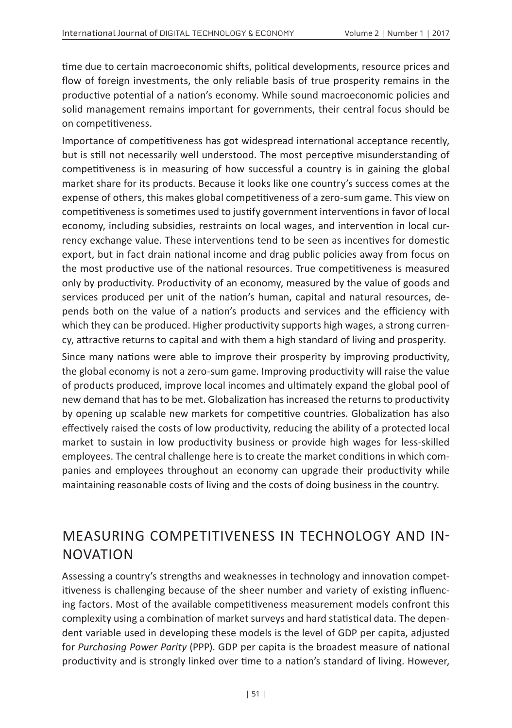time due to certain macroeconomic shifts, political developments, resource prices and flow of foreign investments, the only reliable basis of true prosperity remains in the productive potential of a nation's economy. While sound macroeconomic policies and solid management remains important for governments, their central focus should be on competitiveness.

Importance of competitiveness has got widespread international acceptance recently, but is still not necessarily well understood. The most perceptive misunderstanding of competitiveness is in measuring of how successful a country is in gaining the global market share for its products. Because it looks like one country's success comes at the expense of others, this makes global competitiveness of a zero-sum game. This view on competitiveness is sometimes used to justify government interventions in favor of local economy, including subsidies, restraints on local wages, and intervention in local currency exchange value. These interventions tend to be seen as incentives for domestic export, but in fact drain national income and drag public policies away from focus on the most productive use of the national resources. True competitiveness is measured only by productivity. Productivity of an economy, measured by the value of goods and services produced per unit of the nation's human, capital and natural resources, depends both on the value of a nation's products and services and the efficiency with which they can be produced. Higher productivity supports high wages, a strong currency, attractive returns to capital and with them a high standard of living and prosperity.

Since many nations were able to improve their prosperity by improving productivity, the global economy is not a zero-sum game. Improving productivity will raise the value of products produced, improve local incomes and ultimately expand the global pool of new demand that has to be met. Globalization has increased the returns to productivity by opening up scalable new markets for competitive countries. Globalization has also effectively raised the costs of low productivity, reducing the ability of a protected local market to sustain in low productivity business or provide high wages for less-skilled employees. The central challenge here is to create the market conditions in which companies and employees throughout an economy can upgrade their productivity while maintaining reasonable costs of living and the costs of doing business in the country.

#### MEASURING COMPETITIVENESS IN TECHNOLOGY AND IN-NOVATION

Assessing a country's strengths and weaknesses in technology and innovation competitiveness is challenging because of the sheer number and variety of existing influencing factors. Most of the available competitiveness measurement models confront this complexity using a combination of market surveys and hard statistical data. The dependent variable used in developing these models is the level of GDP per capita, adjusted for *Purchasing Power Parity* (PPP). GDP per capita is the broadest measure of national productivity and is strongly linked over time to a nation's standard of living. However,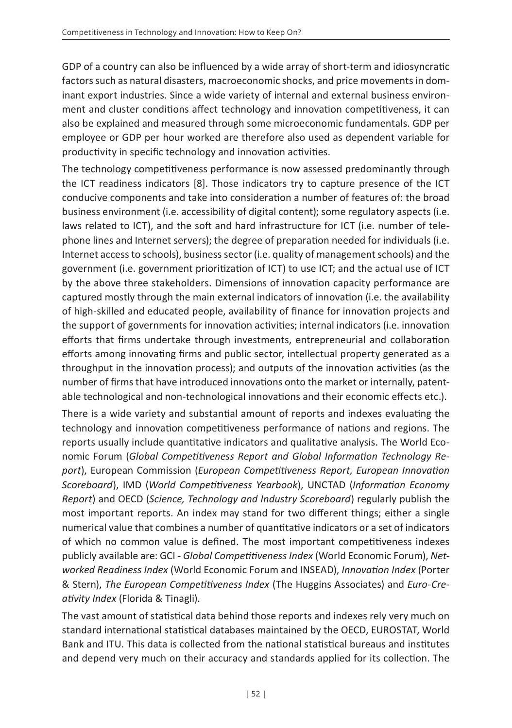GDP of a country can also be influenced by a wide array of short-term and idiosyncratic factors such as natural disasters, macroeconomic shocks, and price movements in dominant export industries. Since a wide variety of internal and external business environment and cluster conditions affect technology and innovation competitiveness, it can also be explained and measured through some microeconomic fundamentals. GDP per employee or GDP per hour worked are therefore also used as dependent variable for productivity in specific technology and innovation activities.

The technology competitiveness performance is now assessed predominantly through the ICT readiness indicators [8]. Those indicators try to capture presence of the ICT conducive components and take into consideration a number of features of: the broad business environment (i.e. accessibility of digital content); some regulatory aspects (i.e. laws related to ICT), and the soft and hard infrastructure for ICT (i.e. number of telephone lines and Internet servers); the degree of preparation needed for individuals (i.e. Internet access to schools), business sector (i.e. quality of management schools) and the government (i.e. government prioritization of ICT) to use ICT; and the actual use of ICT by the above three stakeholders. Dimensions of innovation capacity performance are captured mostly through the main external indicators of innovation (i.e. the availability of high-skilled and educated people, availability of finance for innovation projects and the support of governments for innovation activities; internal indicators (i.e. innovation efforts that firms undertake through investments, entrepreneurial and collaboration efforts among innovating firms and public sector, intellectual property generated as a throughput in the innovation process); and outputs of the innovation activities (as the number of firms that have introduced innovations onto the market or internally, patentable technological and non-technological innovations and their economic effects etc.).

There is a wide variety and substantial amount of reports and indexes evaluating the technology and innovation competitiveness performance of nations and regions. The reports usually include quantitative indicators and qualitative analysis. The World Economic Forum (*Global Competitiveness Report and Global Information Technology Report*), European Commission (*European Competitiveness Report, European Innovation Scoreboard*), IMD (*World Competitiveness Yearbook*), UNCTAD (*Information Economy Report*) and OECD (*Science, Technology and Industry Scoreboard*) regularly publish the most important reports. An index may stand for two different things; either a single numerical value that combines a number of quantitative indicators or a set of indicators of which no common value is defined. The most important competitiveness indexes publicly available are: GCI - *Global Competitiveness Index* (World Economic Forum), *Networked Readiness Index* (World Economic Forum and INSEAD), *Innovation Index* (Porter & Stern), *The European Competitiveness Index* (The Huggins Associates) and *Euro-Creativity Index* (Florida & Tinagli).

The vast amount of statistical data behind those reports and indexes rely very much on standard international statistical databases maintained by the OECD, EUROSTAT, World Bank and ITU. This data is collected from the national statistical bureaus and institutes and depend very much on their accuracy and standards applied for its collection. The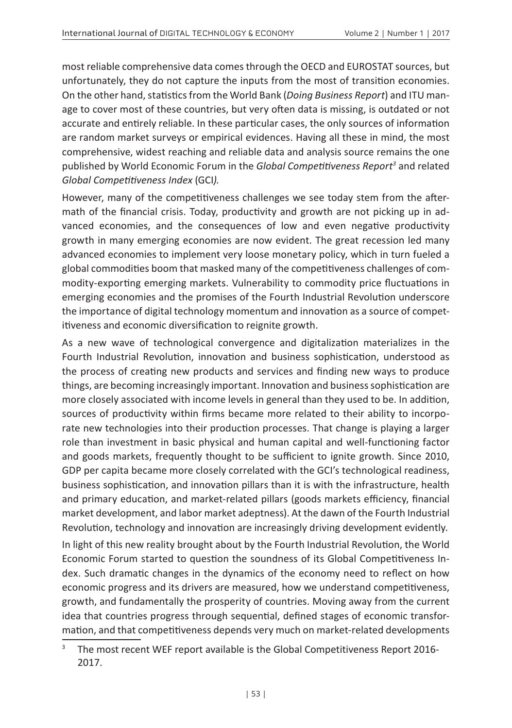most reliable comprehensive data comes through the OECD and EUROSTAT sources, but unfortunately, they do not capture the inputs from the most of transition economies. On the other hand, statistics from the World Bank (*Doing Business Report*) and ITU manage to cover most of these countries, but very often data is missing, is outdated or not accurate and entirely reliable. In these particular cases, the only sources of information are random market surveys or empirical evidences. Having all these in mind, the most comprehensive, widest reaching and reliable data and analysis source remains the one published by World Economic Forum in the *Global Competitiveness Report<sup>3</sup>* and related *Global Competitiveness Index* (GCI*).*

However, many of the competitiveness challenges we see today stem from the aftermath of the financial crisis. Today, productivity and growth are not picking up in advanced economies, and the consequences of low and even negative productivity growth in many emerging economies are now evident. The great recession led many advanced economies to implement very loose monetary policy, which in turn fueled a global commodities boom that masked many of the competitiveness challenges of commodity-exporting emerging markets. Vulnerability to commodity price fluctuations in emerging economies and the promises of the Fourth Industrial Revolution underscore the importance of digital technology momentum and innovation as a source of competitiveness and economic diversification to reignite growth.

As a new wave of technological convergence and digitalization materializes in the Fourth Industrial Revolution, innovation and business sophistication, understood as the process of creating new products and services and finding new ways to produce things, are becoming increasingly important. Innovation and business sophistication are more closely associated with income levels in general than they used to be. In addition, sources of productivity within firms became more related to their ability to incorporate new technologies into their production processes. That change is playing a larger role than investment in basic physical and human capital and well-functioning factor and goods markets, frequently thought to be sufficient to ignite growth. Since 2010, GDP per capita became more closely correlated with the GCI's technological readiness, business sophistication, and innovation pillars than it is with the infrastructure, health and primary education, and market-related pillars (goods markets efficiency, financial market development, and labor market adeptness). At the dawn of the Fourth Industrial Revolution, technology and innovation are increasingly driving development evidently.

In light of this new reality brought about by the Fourth Industrial Revolution, the World Economic Forum started to question the soundness of its Global Competitiveness Index. Such dramatic changes in the dynamics of the economy need to reflect on how economic progress and its drivers are measured, how we understand competitiveness, growth, and fundamentally the prosperity of countries. Moving away from the current idea that countries progress through sequential, defined stages of economic transformation, and that competitiveness depends very much on market-related developments

<sup>3</sup> The most recent WEF report available is the Global Competitiveness Report 2016- 2017.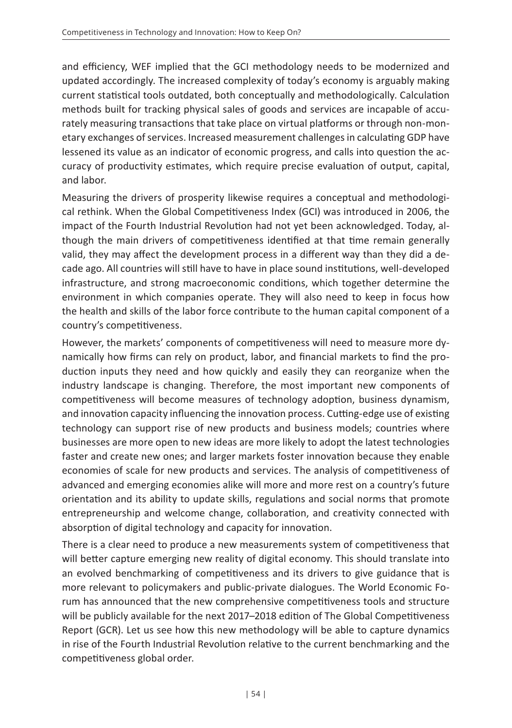and efficiency, WEF implied that the GCI methodology needs to be modernized and updated accordingly. The increased complexity of today's economy is arguably making current statistical tools outdated, both conceptually and methodologically. Calculation methods built for tracking physical sales of goods and services are incapable of accurately measuring transactions that take place on virtual platforms or through non-monetary exchanges of services. Increased measurement challenges in calculating GDP have lessened its value as an indicator of economic progress, and calls into question the accuracy of productivity estimates, which require precise evaluation of output, capital, and labor.

Measuring the drivers of prosperity likewise requires a conceptual and methodological rethink. When the Global Competitiveness Index (GCI) was introduced in 2006, the impact of the Fourth Industrial Revolution had not yet been acknowledged. Today, although the main drivers of competitiveness identified at that time remain generally valid, they may affect the development process in a different way than they did a decade ago. All countries will still have to have in place sound institutions, well-developed infrastructure, and strong macroeconomic conditions, which together determine the environment in which companies operate. They will also need to keep in focus how the health and skills of the labor force contribute to the human capital component of a country's competitiveness.

However, the markets' components of competitiveness will need to measure more dynamically how firms can rely on product, labor, and financial markets to find the production inputs they need and how quickly and easily they can reorganize when the industry landscape is changing. Therefore, the most important new components of competitiveness will become measures of technology adoption, business dynamism, and innovation capacity influencing the innovation process. Cutting-edge use of existing technology can support rise of new products and business models; countries where businesses are more open to new ideas are more likely to adopt the latest technologies faster and create new ones; and larger markets foster innovation because they enable economies of scale for new products and services. The analysis of competitiveness of advanced and emerging economies alike will more and more rest on a country's future orientation and its ability to update skills, regulations and social norms that promote entrepreneurship and welcome change, collaboration, and creativity connected with absorption of digital technology and capacity for innovation.

There is a clear need to produce a new measurements system of competitiveness that will better capture emerging new reality of digital economy. This should translate into an evolved benchmarking of competitiveness and its drivers to give guidance that is more relevant to policymakers and public-private dialogues. The World Economic Forum has announced that the new comprehensive competitiveness tools and structure will be publicly available for the next 2017–2018 edition of The Global Competitiveness Report (GCR). Let us see how this new methodology will be able to capture dynamics in rise of the Fourth Industrial Revolution relative to the current benchmarking and the competitiveness global order.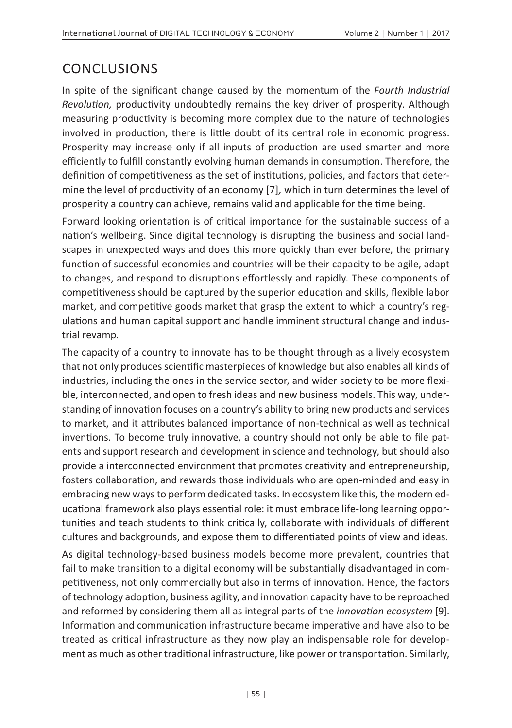#### **CONCLUSIONS**

In spite of the significant change caused by the momentum of the *Fourth Industrial Revolution,* productivity undoubtedly remains the key driver of prosperity. Although measuring productivity is becoming more complex due to the nature of technologies involved in production, there is little doubt of its central role in economic progress. Prosperity may increase only if all inputs of production are used smarter and more efficiently to fulfill constantly evolving human demands in consumption. Therefore, the definition of competitiveness as the set of institutions, policies, and factors that determine the level of productivity of an economy [7]*,* which in turn determines the level of prosperity a country can achieve, remains valid and applicable for the time being.

Forward looking orientation is of critical importance for the sustainable success of a nation's wellbeing. Since digital technology is disrupting the business and social landscapes in unexpected ways and does this more quickly than ever before, the primary function of successful economies and countries will be their capacity to be agile, adapt to changes, and respond to disruptions effortlessly and rapidly. These components of competitiveness should be captured by the superior education and skills, flexible labor market, and competitive goods market that grasp the extent to which a country's regulations and human capital support and handle imminent structural change and industrial revamp.

The capacity of a country to innovate has to be thought through as a lively ecosystem that not only produces scientific masterpieces of knowledge but also enables all kinds of industries, including the ones in the service sector, and wider society to be more flexible, interconnected, and open to fresh ideas and new business models. This way, understanding of innovation focuses on a country's ability to bring new products and services to market, and it attributes balanced importance of non-technical as well as technical inventions. To become truly innovative, a country should not only be able to file patents and support research and development in science and technology, but should also provide a interconnected environment that promotes creativity and entrepreneurship, fosters collaboration, and rewards those individuals who are open-minded and easy in embracing new ways to perform dedicated tasks. In ecosystem like this, the modern educational framework also plays essential role: it must embrace life-long learning opportunities and teach students to think critically, collaborate with individuals of different cultures and backgrounds, and expose them to differentiated points of view and ideas.

As digital technology-based business models become more prevalent, countries that fail to make transition to a digital economy will be substantially disadvantaged in competitiveness, not only commercially but also in terms of innovation. Hence, the factors of technology adoption, business agility, and innovation capacity have to be reproached and reformed by considering them all as integral parts of the *innovation ecosystem* [9]. Information and communication infrastructure became imperative and have also to be treated as critical infrastructure as they now play an indispensable role for development as much as other traditional infrastructure, like power or transportation. Similarly,